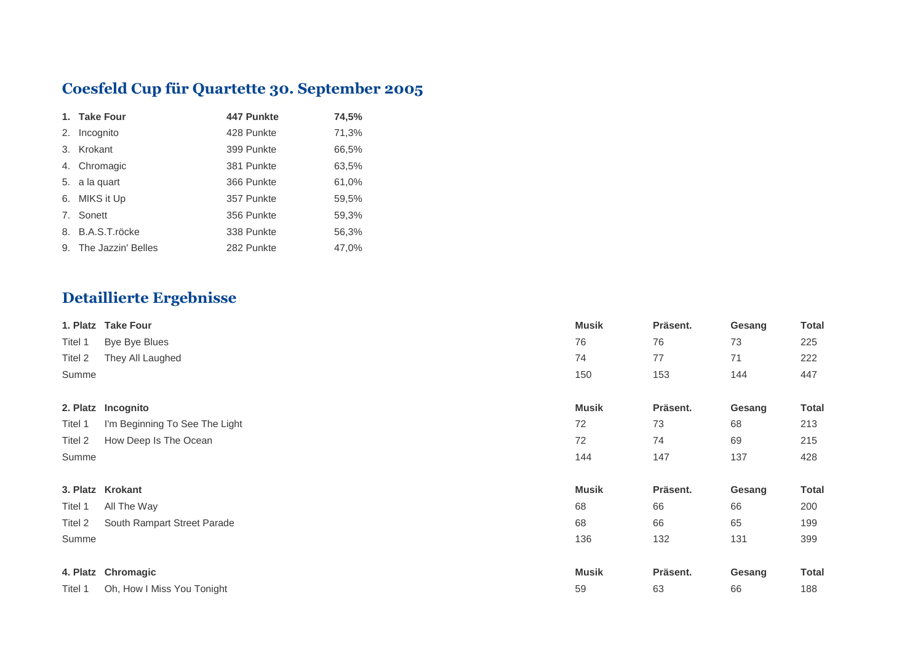## **Coesfeld Cup für Quartette 30. September 2005**

| 1. Take Four          | 447 Punkte | 74,5% |
|-----------------------|------------|-------|
| 2. Incognito          | 428 Punkte | 71,3% |
| 3. Krokant            | 399 Punkte | 66,5% |
| 4. Chromagic          | 381 Punkte | 63,5% |
| 5. a la quart         | 366 Punkte | 61,0% |
| 6. MIKS it Up         | 357 Punkte | 59,5% |
| 7. Sonett             | 356 Punkte | 59,3% |
| 8. B.A.S.T.röcke      | 338 Punkte | 56,3% |
| 9. The Jazzin' Belles | 282 Punkte | 47,0% |

## **Detaillierte Ergebnisse**

|         | 1. Platz Take Four             | <b>Musik</b> | Präsent. | Gesang | <b>Total</b> |
|---------|--------------------------------|--------------|----------|--------|--------------|
| Titel 1 | Bye Bye Blues                  | 76           | 76       | 73     | 225          |
| Titel 2 | They All Laughed               | 74           | 77       | 71     | 222          |
| Summe   |                                | 150          | 153      | 144    | 447          |
|         | 2. Platz Incognito             | <b>Musik</b> | Präsent. | Gesang | <b>Total</b> |
| Titel 1 | I'm Beginning To See The Light | 72           | 73       | 68     | 213          |
| Titel 2 | How Deep Is The Ocean          | 72           | 74       | 69     | 215          |
| Summe   |                                | 144          | 147      | 137    | 428          |
|         | 3. Platz Krokant               | <b>Musik</b> | Präsent. | Gesang | <b>Total</b> |
| Titel 1 | All The Way                    | 68           | 66       | 66     | 200          |
| Titel 2 | South Rampart Street Parade    | 68           | 66       | 65     | 199          |
| Summe   |                                | 136          | 132      | 131    | 399          |
|         | 4. Platz Chromagic             | <b>Musik</b> | Präsent. | Gesang | <b>Total</b> |
| Titel 1 | Oh, How I Miss You Tonight     | 59           | 63       | 66     | 188          |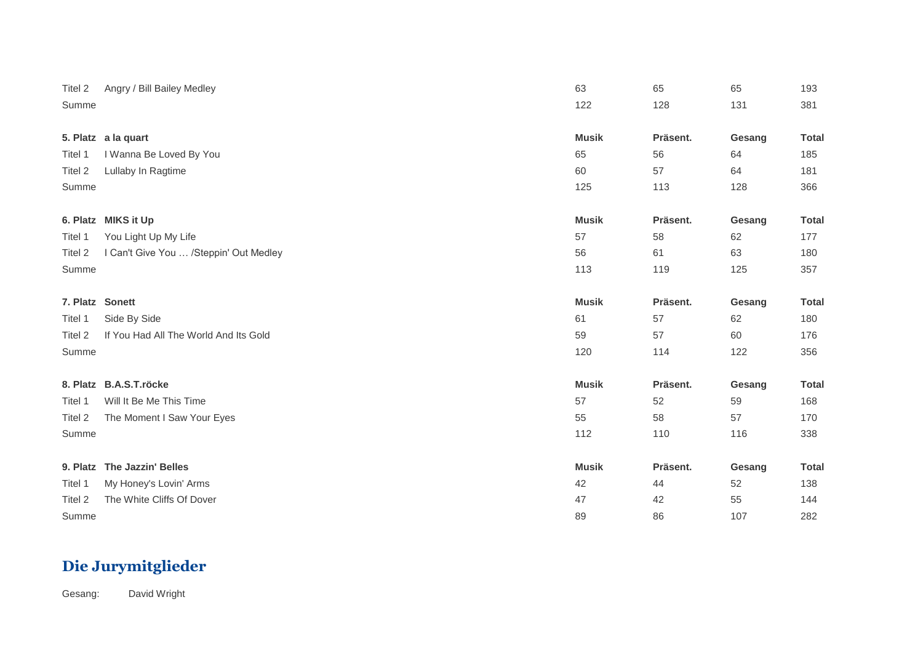| Titel 2         | Angry / Bill Bailey Medley             | 63           | 65       | 65     | 193          |
|-----------------|----------------------------------------|--------------|----------|--------|--------------|
| Summe           |                                        | 122          | 128      | 131    | 381          |
|                 |                                        |              |          |        |              |
|                 | 5. Platz a la quart                    | <b>Musik</b> | Präsent. | Gesang | <b>Total</b> |
| Titel 1         | I Wanna Be Loved By You                | 65           | 56       | 64     | 185          |
| Titel 2         | Lullaby In Ragtime                     | 60           | 57       | 64     | 181          |
| Summe           |                                        | 125          | 113      | 128    | 366          |
|                 |                                        |              |          |        |              |
|                 | 6. Platz MIKS it Up                    | <b>Musik</b> | Präsent. | Gesang | <b>Total</b> |
| Titel 1         | You Light Up My Life                   | 57           | 58       | 62     | 177          |
| Titel 2         | I Can't Give You  /Steppin' Out Medley | 56           | 61       | 63     | 180          |
| Summe           |                                        | 113          | 119      | 125    | 357          |
|                 |                                        |              |          |        |              |
| 7. Platz Sonett |                                        | <b>Musik</b> | Präsent. | Gesang | <b>Total</b> |
| Titel 1         | Side By Side                           | 61           | 57       | 62     | 180          |
| Titel 2         | If You Had All The World And Its Gold  | 59           | 57       | 60     | 176          |
| Summe           |                                        | 120          | 114      | 122    | 356          |
|                 |                                        |              |          |        |              |
|                 | 8. Platz B.A.S.T.röcke                 | <b>Musik</b> | Präsent. | Gesang | <b>Total</b> |
| Titel 1         | Will It Be Me This Time                | 57           | 52       | 59     | 168          |
| Titel 2         | The Moment I Saw Your Eyes             | 55           | 58       | 57     | 170          |
| Summe           |                                        | 112          | 110      | 116    | 338          |
|                 |                                        |              |          |        |              |
|                 | 9. Platz The Jazzin' Belles            | <b>Musik</b> | Präsent. | Gesang | <b>Total</b> |
| Titel 1         | My Honey's Lovin' Arms                 | 42           | 44       | 52     | 138          |
| Titel 2         | The White Cliffs Of Dover              | 47           | 42       | 55     | 144          |
| Summe           |                                        | 89           | 86       | 107    | 282          |

## **Die Jurymitglieder**

Gesang: David Wright